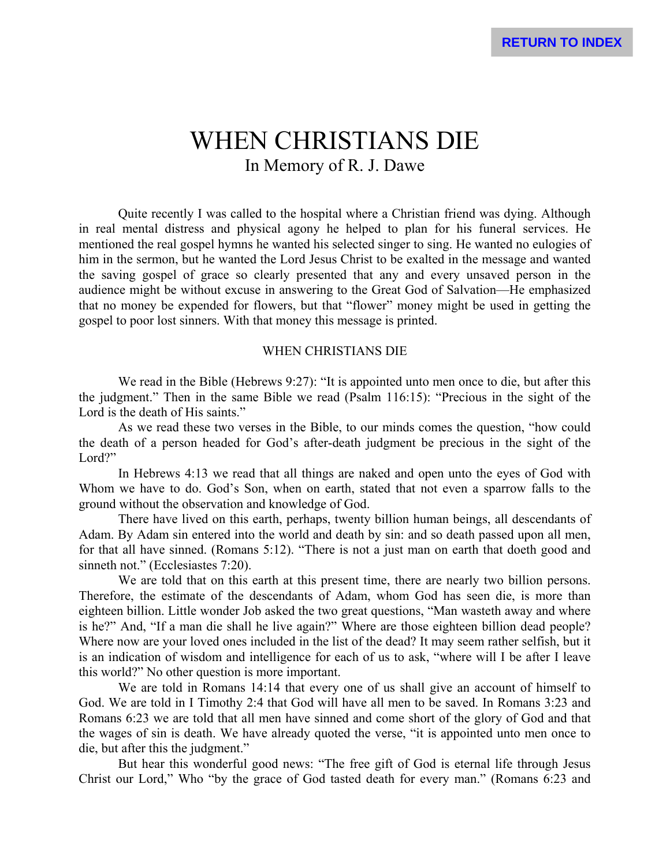# WHEN CHRISTIANS DIE In Memory of R. J. Dawe

Quite recently I was called to the hospital where a Christian friend was dying. Although in real mental distress and physical agony he helped to plan for his funeral services. He mentioned the real gospel hymns he wanted his selected singer to sing. He wanted no eulogies of him in the sermon, but he wanted the Lord Jesus Christ to be exalted in the message and wanted the saving gospel of grace so clearly presented that any and every unsaved person in the audience might be without excuse in answering to the Great God of Salvation—He emphasized that no money be expended for flowers, but that "flower" money might be used in getting the gospel to poor lost sinners. With that money this message is printed.

#### WHEN CHRISTIANS DIE

We read in the Bible (Hebrews 9:27): "It is appointed unto men once to die, but after this the judgment." Then in the same Bible we read (Psalm 116:15): "Precious in the sight of the Lord is the death of His saints."

As we read these two verses in the Bible, to our minds comes the question, "how could the death of a person headed for God's after-death judgment be precious in the sight of the Lord?"

In Hebrews 4:13 we read that all things are naked and open unto the eyes of God with Whom we have to do. God's Son, when on earth, stated that not even a sparrow falls to the ground without the observation and knowledge of God.

There have lived on this earth, perhaps, twenty billion human beings, all descendants of Adam. By Adam sin entered into the world and death by sin: and so death passed upon all men, for that all have sinned. (Romans 5:12). "There is not a just man on earth that doeth good and sinneth not." (Ecclesiastes 7:20).

We are told that on this earth at this present time, there are nearly two billion persons. Therefore, the estimate of the descendants of Adam, whom God has seen die, is more than eighteen billion. Little wonder Job asked the two great questions, "Man wasteth away and where is he?" And, "If a man die shall he live again?" Where are those eighteen billion dead people? Where now are your loved ones included in the list of the dead? It may seem rather selfish, but it is an indication of wisdom and intelligence for each of us to ask, "where will I be after I leave this world?" No other question is more important.

We are told in Romans 14:14 that every one of us shall give an account of himself to God. We are told in I Timothy 2:4 that God will have all men to be saved. In Romans 3:23 and Romans 6:23 we are told that all men have sinned and come short of the glory of God and that the wages of sin is death. We have already quoted the verse, "it is appointed unto men once to die, but after this the judgment."

But hear this wonderful good news: "The free gift of God is eternal life through Jesus Christ our Lord," Who "by the grace of God tasted death for every man." (Romans 6:23 and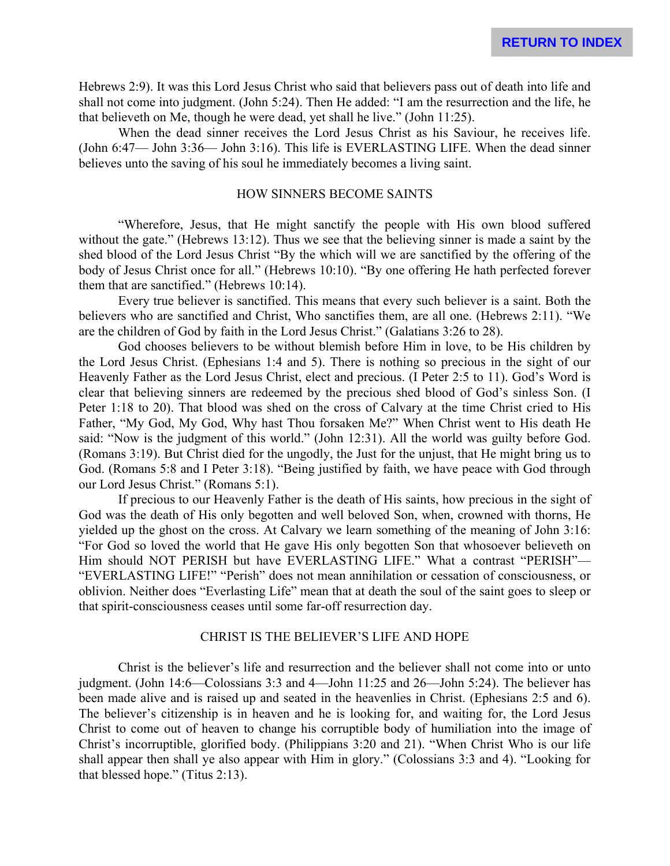Hebrews 2:9). It was this Lord Jesus Christ who said that believers pass out of death into life and shall not come into judgment. (John 5:24). Then He added: "I am the resurrection and the life, he that believeth on Me, though he were dead, yet shall he live." (John 11:25).

When the dead sinner receives the Lord Jesus Christ as his Saviour, he receives life. (John 6:47— John 3:36— John 3:16). This life is EVERLASTING LIFE. When the dead sinner believes unto the saving of his soul he immediately becomes a living saint.

#### HOW SINNERS BECOME SAINTS

"Wherefore, Jesus, that He might sanctify the people with His own blood suffered without the gate." (Hebrews 13:12). Thus we see that the believing sinner is made a saint by the shed blood of the Lord Jesus Christ "By the which will we are sanctified by the offering of the body of Jesus Christ once for all." (Hebrews 10:10). "By one offering He hath perfected forever them that are sanctified." (Hebrews 10:14).

Every true believer is sanctified. This means that every such believer is a saint. Both the believers who are sanctified and Christ, Who sanctifies them, are all one. (Hebrews 2:11). "We are the children of God by faith in the Lord Jesus Christ." (Galatians 3:26 to 28).

God chooses believers to be without blemish before Him in love, to be His children by the Lord Jesus Christ. (Ephesians 1:4 and 5). There is nothing so precious in the sight of our Heavenly Father as the Lord Jesus Christ, elect and precious. (I Peter 2:5 to 11). God's Word is clear that believing sinners are redeemed by the precious shed blood of God's sinless Son. (I Peter 1:18 to 20). That blood was shed on the cross of Calvary at the time Christ cried to His Father, "My God, My God, Why hast Thou forsaken Me?" When Christ went to His death He said: "Now is the judgment of this world." (John 12:31). All the world was guilty before God. (Romans 3:19). But Christ died for the ungodly, the Just for the unjust, that He might bring us to God. (Romans 5:8 and I Peter 3:18). "Being justified by faith, we have peace with God through our Lord Jesus Christ." (Romans 5:1).

If precious to our Heavenly Father is the death of His saints, how precious in the sight of God was the death of His only begotten and well beloved Son, when, crowned with thorns, He yielded up the ghost on the cross. At Calvary we learn something of the meaning of John 3:16: "For God so loved the world that He gave His only begotten Son that whosoever believeth on Him should NOT PERISH but have EVERLASTING LIFE." What a contrast "PERISH"— "EVERLASTING LIFE!" "Perish" does not mean annihilation or cessation of consciousness, or oblivion. Neither does "Everlasting Life" mean that at death the soul of the saint goes to sleep or that spirit-consciousness ceases until some far-off resurrection day.

## CHRIST IS THE BELIEVER'S LIFE AND HOPE

Christ is the believer's life and resurrection and the believer shall not come into or unto judgment. (John 14:6—Colossians 3:3 and 4—John 11:25 and 26—John 5:24). The believer has been made alive and is raised up and seated in the heavenlies in Christ. (Ephesians 2:5 and 6). The believer's citizenship is in heaven and he is looking for, and waiting for, the Lord Jesus Christ to come out of heaven to change his corruptible body of humiliation into the image of Christ's incorruptible, glorified body. (Philippians 3:20 and 21). "When Christ Who is our life shall appear then shall ye also appear with Him in glory." (Colossians 3:3 and 4). "Looking for that blessed hope." (Titus 2:13).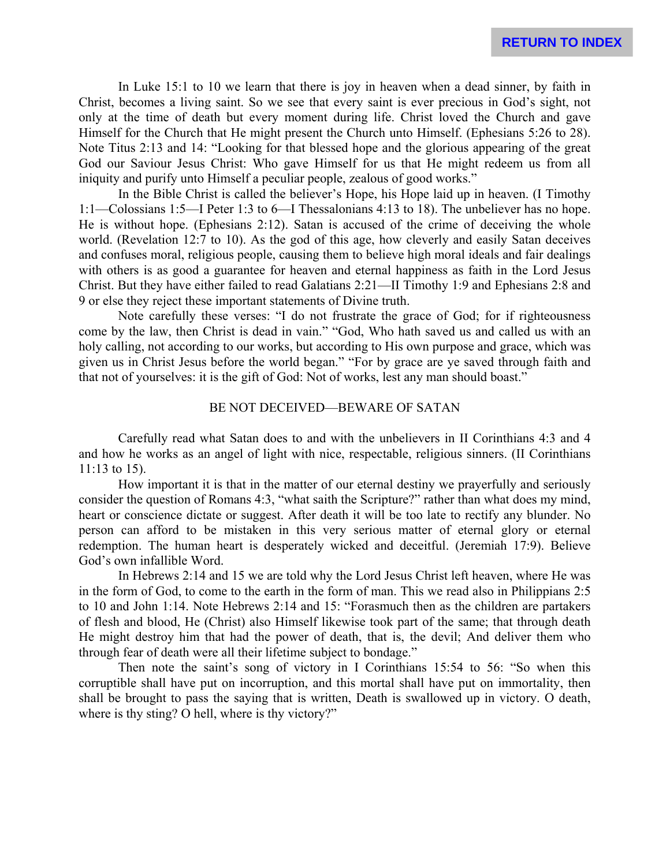In Luke 15:1 to 10 we learn that there is joy in heaven when a dead sinner, by faith in Christ, becomes a living saint. So we see that every saint is ever precious in God's sight, not only at the time of death but every moment during life. Christ loved the Church and gave Himself for the Church that He might present the Church unto Himself. (Ephesians 5:26 to 28). Note Titus 2:13 and 14: "Looking for that blessed hope and the glorious appearing of the great God our Saviour Jesus Christ: Who gave Himself for us that He might redeem us from all iniquity and purify unto Himself a peculiar people, zealous of good works."

In the Bible Christ is called the believer's Hope, his Hope laid up in heaven. (I Timothy 1:1—Colossians 1:5—I Peter 1:3 to 6—I Thessalonians 4:13 to 18). The unbeliever has no hope. He is without hope. (Ephesians 2:12). Satan is accused of the crime of deceiving the whole world. (Revelation 12:7 to 10). As the god of this age, how cleverly and easily Satan deceives and confuses moral, religious people, causing them to believe high moral ideals and fair dealings with others is as good a guarantee for heaven and eternal happiness as faith in the Lord Jesus Christ. But they have either failed to read Galatians 2:21—II Timothy 1:9 and Ephesians 2:8 and 9 or else they reject these important statements of Divine truth.

Note carefully these verses: "I do not frustrate the grace of God; for if righteousness come by the law, then Christ is dead in vain." "God, Who hath saved us and called us with an holy calling, not according to our works, but according to His own purpose and grace, which was given us in Christ Jesus before the world began." "For by grace are ye saved through faith and that not of yourselves: it is the gift of God: Not of works, lest any man should boast."

## BE NOT DECEIVED—BEWARE OF SATAN

Carefully read what Satan does to and with the unbelievers in II Corinthians 4:3 and 4 and how he works as an angel of light with nice, respectable, religious sinners. (II Corinthians 11:13 to 15).

How important it is that in the matter of our eternal destiny we prayerfully and seriously consider the question of Romans 4:3, "what saith the Scripture?" rather than what does my mind, heart or conscience dictate or suggest. After death it will be too late to rectify any blunder. No person can afford to be mistaken in this very serious matter of eternal glory or eternal redemption. The human heart is desperately wicked and deceitful. (Jeremiah 17:9). Believe God's own infallible Word.

In Hebrews 2:14 and 15 we are told why the Lord Jesus Christ left heaven, where He was in the form of God, to come to the earth in the form of man. This we read also in Philippians 2:5 to 10 and John 1:14. Note Hebrews 2:14 and 15: "Forasmuch then as the children are partakers of flesh and blood, He (Christ) also Himself likewise took part of the same; that through death He might destroy him that had the power of death, that is, the devil; And deliver them who through fear of death were all their lifetime subject to bondage."

Then note the saint's song of victory in I Corinthians 15:54 to 56: "So when this corruptible shall have put on incorruption, and this mortal shall have put on immortality, then shall be brought to pass the saying that is written, Death is swallowed up in victory. O death, where is thy sting? O hell, where is thy victory?"